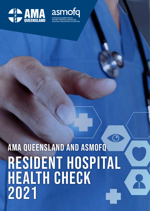



# ි AMA QUEENSLAND AND ASMOFQResident hospital health check 2021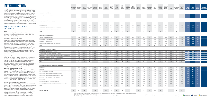# **INTRODUCTION**

In 2021, AMA Queensland and its Council of Doctors in Training, in collaboration with ASMOFQ (Australian Salaried Medical Officers' Federation Queensland), surveyed Resident Medical Officers (RMOs) throughout Queensland, including Interns, Junior House Officers, Senior House Officers and those on Continued Residency. The survey evaluated their experiences of employment in Queensland and subsequently compared hospitals across the state. Results were reported for a total of 808 junior doctors across 21 hospitals and Hospital and Health Services (HHSs). This was the sixth consecutive year for the survey and was designed to be similar to previous years so that results could be compared to previous years.

## **MAJOR BREAKDOWN AMONG FULL SAMPLE**

#### **Leave**

Of the total sample, 59% were satisfied their leave preferences were taken into consideration, which was slightly lower than 2020 (62%) and 2019 (64%).

#### **Professional/career development**

In total, 36% had applied for professional development leave (PDL), which represents an 8% increase in trainees applying for PDL compared with 2020 and is similar with the 2019 figure (38%). Among those who applied, leave was granted to 79% of applicants, which appears to have been steadily growing from 77% and 73% in 2020 and 2019 respectively. Further, 52% and 32% were satisfied that their clinical rotation preferences had been accommodated, and with opportunities to be involved in research and auditing (this is compared with 51% and 33% respectively in 2020).

#### **Pay and overtime**

Redland Hospital and Wynnum-Manly Centre.<br>
The SCHIFS (of her respondents who indicated they rotated between various hospitals within SCHIFS (within SCHIFS who indicated they rotated between various hospitals within SCHIFS NOTE: The Metro South (other) includes four hospitals with a small number of respondents, including: Inala Community Health Service, Queen Elizabeth II, Redland Hospital and Wynnum-Manly Community Centre.

Among the full sample, a total of 24% of respondents reported not being fully paid for claimed overtime, which was steady when compared with 2020. Further, 25% reported that they had been advised not to claim overtime payment by an administrative officer or a more senior medical officer and 25% also believed doing so would lead to a negative assessment (holding steady with 27% on both questions in 2020).

#### **Wellbeing and workplace culture**

Importantly, 30% of respondents reported that they had felt unsafe at work, which appears to be trending up from 27% in 2020 and 22% in 2019, and 51% reported that they had been concerned about making a clinical error due to fatigue related to long work hours. Less than half of respondents were satisfied with the hospital facilities (43%) and the quality of the teaching and training (46%) on offer, with the former appearing to trend down from 47% in 2020 and 57% in 2019.

#### **Bullying, discrimination and harassment**

Overall, 34% experienced bullying/discrimination/harassment, with a further 17% witnessing one or more of these behaviours. The percentage who experienced bullying/discrimination/ harassment in 2021 was steady with 2020 and 2019 (34% and 33% respectively). Only 34% of respondents who reported these behaviours felt they had been addressed appropriately, which was much lower than 2020 (65%) and 2019 (46%), and 71% were concerned that reporting the matter might

The SCHHS (other) refers to respondents who indicated they rotated between various hospitals within SCHHS.

NOTE: for the traffic lights green means at least a 5% improvement while red means at least 5% worse, all else is yellow.

**2020** Improvement **2020** Worsening Same as last year

|                                                                                           | Bundaberc<br>Hospital | Caboolture<br>Hospital | <b>Cairns</b><br><b>Hospital</b> | <b>Gold Coast</b><br>Hospital | Hervey Bay<br>Hospital | <i>lpswich</i><br>Hospital | Logan<br>Hospital | Mackay<br><b>Base</b><br>Hospital | Mater<br>Public<br>South<br><b>Brisbane</b> | Metro<br>South<br><b>HHS</b><br>(other) | Princess<br>Alexandra<br><b>Hospital</b> | QLD<br>Children's<br>Hospital | Redcliffe<br>Hospital | Robina<br>Hospital | Rockhampton<br>Hospital | <b>SCHHS</b><br>(other) | Sunshine<br><b>Coast Uni</b><br>Hospital | <b>The Prince</b><br><b>Charles</b><br>Hospital | <b>RBWH</b>  | Toowoomba<br>Hospital | Townsville<br>Uni<br>Hospital | 2021<br><b>OVERALL</b> | 2020<br><b>OVERALL</b> | 2019<br><b>OVERALL</b> | 2021/2020<br><b>COMPARISON</b> |
|-------------------------------------------------------------------------------------------|-----------------------|------------------------|----------------------------------|-------------------------------|------------------------|----------------------------|-------------------|-----------------------------------|---------------------------------------------|-----------------------------------------|------------------------------------------|-------------------------------|-----------------------|--------------------|-------------------------|-------------------------|------------------------------------------|-------------------------------------------------|--------------|-----------------------|-------------------------------|------------------------|------------------------|------------------------|--------------------------------|
| <b>Access to annual leave</b>                                                             |                       |                        |                                  |                               |                        |                            |                   |                                   |                                             |                                         |                                          |                               |                       |                    |                         |                         |                                          |                                                 |              |                       |                               |                        |                        |                        |                                |
| Satisfied preferences for leave were taken into consideration                             | 57%                   | 54%                    | 60%                              | 58%                           | 62%                    | 61%                        | 62%               | 62%                               | 75%                                         | 47%                                     | 58%                                      | 33%                           | 73%                   | 44%                | 62%                     | 56%                     | 58%                                      | 59%                                             | 45%          | 73%                   | 47%                           | 59%                    | 62%                    | 64%                    | <b>O</b>                       |
| <b>GRADE</b>                                                                              | $\mathsf{C}$          |                        | $B -$                            | $C+$                          | $B -$                  | $C+$                       | $C+$              | <b>B-</b>                         |                                             |                                         | $C+$                                     | <b>C-</b>                     |                       | $C-$               | $C+$                    | $C+$                    |                                          | $C+$                                            |              | <b>B-</b>             | $\mathsf{C}$                  |                        |                        |                        |                                |
| <b>Career progression and development</b>                                                 |                       |                        |                                  |                               |                        |                            |                   |                                   |                                             |                                         |                                          |                               |                       |                    |                         |                         |                                          |                                                 |              |                       |                               |                        |                        |                        |                                |
| Applied for PDL                                                                           | 41%                   | 33%                    | 48%                              | 26%                           | 33%                    | 26%                        | 46%               | 48%                               | 29%                                         | 73%                                     | 33%                                      | 60%                           | 41%                   | 11%                | 15%                     | 60%                     | 42%                                      | 31%                                             | 43%          | 10%                   | 45%                           | 36%                    | 28%                    | 38%                    | .●                             |
| PDL approval rate                                                                         | 80%                   | 88%                    | 78%                              | 79%                           | 88%                    | 60%                        | 75%               | 81%                               | 88%                                         | 82%                                     | 65%                                      | 89%                           | 100%                  | 50%                | 100%                    | 67%                     | 82%                                      | 80%                                             | 72%          | 80%                   | 65%                           | 79%                    | 77%                    | 73%                    | $\bullet$                      |
| Clinical rotation preferences taken into consideration                                    | 43%                   | 50%                    | 50%                              | 53%                           | 50%                    | 22%                        | 58%               | 68%                               | 89%                                         | 53%                                     | 50%                                      | 20%                           | 62%                   | 56%                | 40%                     | 28%                     | 54%                                      | 56%                                             | 45%          | 60%                   | 42%                           | 52%                    | 51%                    | 55%                    | $\bullet$                      |
| Satisfied with research and audit opportunities                                           | 14%                   | 38%                    | 35%                              | 34%                           | 42%                    | 22%                        | 27%               | 34%                               | 43%                                         | 40%                                     | 38%                                      | 27%                           | 41%                   | 28%                | 20%                     | 20%                     | 27%                                      | 47%                                             | 34%          | 27%                   | 29%                           | 32%                    | 33%                    | 32%                    | $\bullet$                      |
| <b>GRADE</b>                                                                              | $\mathsf{C}$          |                        | $\mathsf{C}$                     |                               |                        | D+                         | $\mathsf{C}$      |                                   | $C+$                                        | $C+$                                    | $\mathsf{C}$                             | $C-$                          | $C+$                  | c-                 |                         | $C-$                    | $\epsilon$                               | $\epsilon$                                      |              |                       | $\mathsf{C}$                  |                        |                        |                        |                                |
| Hours of work and overtime                                                                |                       |                        |                                  |                               |                        |                            |                   |                                   |                                             |                                         |                                          |                               |                       |                    |                         |                         |                                          |                                                 |              |                       |                               |                        |                        |                        |                                |
| Working >90 hours per fortnight                                                           | 11%                   | 13%                    | 11%                              | 12%                           | 4%                     | 13%                        | 12%               | 4%                                | 0%                                          | 7%                                      | 29%                                      | 14%                           | 3%                    | 0%                 | 8%                      | 8%                      | 12%                                      | 16%                                             | 23%          | 14%                   | 15%                           | 12%                    | 11%                    | 15%                    | <b>O</b>                       |
| Payment of un-rostered overtime                                                           | 68%                   | 78%                    | 75%                              | 77%                           | 92%                    | 83%                        | 81%               | 76%                               | $81\%$                                      | 100%                                    | 79%                                      | 64%                           | 97%                   | 62%                | 62%                     | 68%                     | 52%                                      | 64%                                             | 74%          | 92%                   | 71%                           | 76%                    | 75%                    | 80%                    | $\bullet$                      |
| Advised not to claim overtime                                                             | 11%                   | 44%                    | 36%                              | 36%                           | 12%                    | 9%                         | 31%               | 21%                               | 12%                                         | 0%                                      | 36%                                      | 29%                           | 9%                    | 47%                | 28%                     | 38%                     | 29%                                      | 26%                                             | 21%          | 14%                   | 23%                           | 25%                    | 27%                    | 23%                    | $\bullet$                      |
| Concerned it may negatively effect their assessment                                       | 30%                   | 22%                    | 38%                              | 28%                           | 17%                    | 17%                        | 19%               | 25%                               | 4%                                          | 7%                                      | 17%                                      | 29%                           | 14%                   | 41%                | 28%                     | 21%                     | 42%                                      | 29%                                             | 30%          | 20%                   | 41%                           | 25%                    | 27%                    | 27%                    | $\bullet$                      |
| GRADE                                                                                     | $B+$                  |                        | B                                | B <sub>1</sub>                |                        | А-                         | $B+$              | $B+$                              | $\overline{A}$                              | A+                                      | $B+$                                     |                               |                       |                    |                         | $B+$                    | $B -$                                    |                                                 | $B+$         |                       |                               |                        |                        |                        |                                |
| Wellbeing and workplace culture<br>Hospital facilities are very good or excellent         | 14%                   | 0%                     | 53%                              | 67%                           | 35%                    | 4%                         | 8%                | 47%                               | 44%                                         | 43%                                     | 31%                                      | 21%                           | 26%                   | 44%                | 45%                     | 54%                     | 84%                                      | 40%                                             | 52%          | 40%                   | 62%                           | 43%                    | 47%                    | 57%                    | <b>O</b>                       |
| Teaching and training quality is very good or excellent                                   | 36%                   | 35%                    | 56%                              | 57%                           | 48%                    | 26%                        | 27%               | 45%                               | 89%                                         | 50%                                     | 38%                                      | 14%                           | 65%                   | 56%                | 29%                     | 38%                     | 40%                                      | 27%                                             | 41%          | 67%                   | 47%                           | 46%                    | 47%                    | 51%                    | $\bullet$                      |
| Concerned about making a clinical error due to fatigue caused by hours worked             | 56%                   | 74%                    | 56%                              | 43%                           | 48%                    | 61%                        | 54%               | 23%                               | 22%                                         | 29%                                     | 62%                                      | 57%                           | 41%                   | 50%                | 45%                     | 75%                     | 52%                                      | 63%                                             | 67%          | 46%                   | 59%                           | 51%                    | 48%                    | 46%                    | $\bullet$                      |
| Those who felt their safety had been compromised at work                                  | 36%                   | 52%                    | 27%                              | 26%                           | 26%                    | 52%                        | 27%               | 23%                               | 7%                                          | 29%                                     | 35%                                      | 21%                           | 32%                   | 17%                | 16%                     | 33%                     | 32%                                      | 37%                                             | 39%          | 19%                   | 47%                           | 30%                    | 27%                    | 22%                    | <b>O</b> .                     |
| Adequate break in between shifts (10 hours or more)                                       | 78%                   | 87%                    | 91%                              | 83%                           | 74%                    | 78%                        | 81%               | 81%                               | 89%                                         | 64%                                     | 67%                                      | 50%                           | 97%                   | 72%                | 66%                     | 79%                     | 80%                                      | 80%                                             | 80%          | 96%                   | 85%                           | 81%                    | 87%                    | 87%                    | <b>COLL</b>                    |
| <b>GRADE</b>                                                                              | $\mathsf{C}$          | D+                     | $B -$                            | - B                           | $\mathsf{C}$           | $C-$                       | $\mathsf{C}$      | <b>B-</b>                         | $B+$                                        | $C+$                                    | $\mathsf{C}$                             |                               | $B-$                  | $C+$               | $\mathsf{C}$            | $C+$                    | $B-$                                     | <b>C</b>                                        | $C+$         | B-                    | $C+$                          |                        |                        |                        |                                |
| <b>Bullying, discrimination and sexual harassment</b>                                     |                       |                        |                                  |                               |                        |                            |                   |                                   |                                             |                                         | 14%                                      |                               |                       |                    |                         |                         |                                          |                                                 |              |                       |                               |                        |                        |                        |                                |
| Experienced                                                                               | 14%                   | 14%                    | 12%                              | 10%                           | 25%<br>20%             | 9%<br>22%                  | 4%                | 12%                               | 7%                                          | 15%<br>23%                              | 14%                                      | 8%                            | 9%                    | 6%                 | 3%<br>15%               | 9%<br>13%               | 16%                                      | 3%                                              | 6%           | 9%<br>6%              | 10%<br>29%                    | 10%                    | 13%<br>23%             | 12%                    | <b>O</b> I<br>$\bullet$        |
| Witnessed                                                                                 | 14%<br>17%            | 27%<br>41%             | 26%<br>19%                       | 14%<br>24%                    | 10%                    | 30%                        | 8%<br>19%         | 9%<br>19%                         | 7%<br>7%                                    | 8%                                      | 30%                                      | 15%<br>54%                    | 9%<br>18%             | 22%                | 26%                     | 35%                     | 24%<br>16%                               | 31%<br>24%                                      | 23%<br>42%   | 11%                   | 42%                           | 17%<br>24%             | 21%                    | 16%<br>21%             | $\bullet$ .                    |
| Both experienced and witnessed<br>For any of above, the perpetrators were SMO/consultants | 31%                   | 72%                    | 50%                              | 44%                           | 46%                    | 43%                        | 25%               | 82%                               | 33%                                         | 67%                                     | 48%                                      | 40%                           | 33%                   | 11%<br>43%         | 33%                     | 62%                     | 50%                                      | 59%                                             | 54%          | 67%                   | 44%                           |                        | 47%                    | 27%                    | $\bullet$                      |
| For any of above, the perpetrators were registrars or PHOs                                | 38%                   | 17%                    | 29%                              | 33%                           | 54%                    | 50%                        | 25%               | 35%                               | 33%                                         | 0%                                      | 41%                                      | 10%                           | 58%                   | 14%                | 67%                     | 23%                     | 29%                                      | 35%                                             | 49%          | 58%                   | 40%                           | $50\%$<br>37%          | 41%                    | 21%                    | <b>COL</b>                     |
| Did you feel there was anything you could do about it                                     | 56%                   | 22%                    | 46%                              | 38%                           | 46%                    | 14%                        | 38%               | 41%                               | 33%                                         | 33%                                     | 34%                                      | 30%                           | 75%                   | 57%                | 33%                     | 15%                     | 36%                                      | 18%                                             | 19%          | 33%                   | 36%                           | 35%                    | 47%                    | 45%                    | <b>O</b>                       |
| Did you report it                                                                         | 44%                   | 41%                    | 29%                              | 24%                           | 36%                    | 21%                        | 25%               | 29%                               | 17%                                         | 33%                                     | 31%                                      | 10%                           | 42%                   | 50%                | 20%                     | 38%                     | 29%                                      | 29%                                             | 38%          | 42%                   | 44%                           | 32%                    | 30%                    | 23%                    | $\bullet$                      |
| Reported incidents were appropriately addressed                                           | 50%                   | 10%                    | 38%                              | 39%                           | 50%                    | 50%                        | 40%               | 23%                               | 100%                                        | 20%                                     | 33%                                      | 20%                           | 40%                   | 50%                | 30%                     | 0%                      | 12%                                      | 38%                                             | 36%          | 43%                   | 29%                           | 34%                    | 65%                    | 46%                    | $\bullet$                      |
| Concerned that there might be negative consequences for reporting                         | 50%                   | 78%                    | 58%                              | 69%                           | 64%                    | 71%                        | 62%               | 65%                               | 67%                                         | 83%                                     | 66%                                      | 90%                           | 50%                   | 71%                | 80%                     | 85%                     | 79%                                      | 71%                                             | 86%          | 75%                   | 68%                           | 71%                    | 77%                    | 55%                    | $\bullet$                      |
| <b>GRADE</b>                                                                              | $B-$                  |                        | $C+$                             | $C+$                          |                        | - C                        | $C+$              |                                   | $B -$                                       |                                         | $\mathsf{C}$                             |                               | $B -$                 | <b>B-</b>          | $\mathsf{C}$            |                         | $\mathsf{C}$                             | $\epsilon$                                      | $\mathsf{C}$ |                       | $\mathsf{C}$                  |                        |                        |                        |                                |
|                                                                                           |                       |                        |                                  |                               |                        |                            |                   |                                   |                                             |                                         |                                          |                               |                       |                    |                         |                         |                                          |                                                 |              |                       |                               |                        |                        |                        |                                |
| <b>OVERALL GRADE</b>                                                                      | $C+$                  |                        | $C+$                             | $C+$                          | $B-$                   |                            | $C+$              | <b>B-</b>                         | $\sf{B}$                                    | $B -$                                   | $C+$                                     |                               | $\mathsf{B}$          |                    | $C+$                    | $C+$                    | $C+$                                     | $C+$                                            | $\mathsf{C}$ | $B-$                  | $\mathsf{C}$                  |                        |                        |                        |                                |